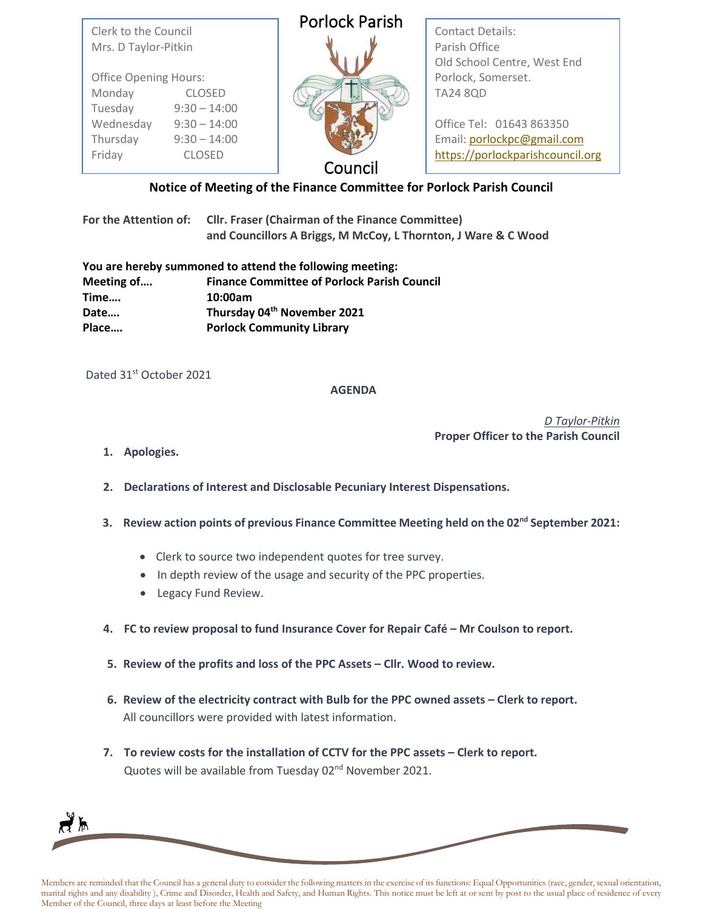| Clerk to the Council<br>Mrs. D Taylor-Pitkin                                 |                | <b>Porlock Parish</b> | <b>Contact Details:</b><br>Parish Office<br>Old School Centre, West End |  |
|------------------------------------------------------------------------------|----------------|-----------------------|-------------------------------------------------------------------------|--|
| <b>Office Opening Hours:</b><br>Monday<br><b>CLOSED</b>                      |                |                       | Porlock, Somerset.<br><b>TA24 8QD</b>                                   |  |
| Tuesday                                                                      | $9:30 - 14:00$ |                       |                                                                         |  |
| Wednesday                                                                    | $9:30 - 14:00$ |                       | Office Tel: 01643 863350                                                |  |
| Thursday                                                                     | $9:30 - 14:00$ |                       | Email: porlockpc@gmail.com                                              |  |
| Friday                                                                       | <b>CLOSED</b>  | Council               | https://porlockparishcouncil.org                                        |  |
| af Maathee af tha Fhanna Cammittee fan Banjaal, Banjah Carnell<br>$M = 12.7$ |                |                       |                                                                         |  |

## **Notice of Meeting of the Finance Committee for Porlock Parish Council**

**For the Attention of: Cllr. Fraser (Chairman of the Finance Committee) and Councillors A Briggs, M McCoy, L Thornton, J Ware & C Wood**

|            | You are hereby summoned to attend the following meeting: |
|------------|----------------------------------------------------------|
| Meeting of | <b>Finance Committee of Porlock Parish Council</b>       |
| Time       | 10:00am                                                  |
| Date       | Thursday 04th November 2021                              |
| Place      | <b>Porlock Community Library</b>                         |

Dated 31st October 2021

## **AGENDA**

*D Taylor-Pitkin*  **Proper Officer to the Parish Council**

- **1. Apologies.**
- **2. Declarations of Interest and Disclosable Pecuniary Interest Dispensations.**
- **3. Review action points of previous Finance Committee Meeting held on the 02nd September 2021:**
	- Clerk to source two independent quotes for tree survey.
	- In depth review of the usage and security of the PPC properties.
	- Legacy Fund Review.
- **4. FC to review proposal to fund Insurance Cover for Repair Café – Mr Coulson to report.**
- **5. Review of the profits and loss of the PPC Assets – Cllr. Wood to review.**
- **6. Review of the electricity contract with Bulb for the PPC owned assets – Clerk to report.**  All councillors were provided with latest information.
- **7. To review costs for the installation of CCTV for the PPC assets – Clerk to report.** Quotes will be available from Tuesday 02<sup>nd</sup> November 2021.

Members are reminded that the Council has a general duty to consider the following matters in the exercise of its functions: Equal Opportunities (race, gender, sexual orientation, marital rights and any disability ), Crime and Disorder, Health and Safety, and Human Rights. This notice must be left at or sent by post to the usual place of residence of every Member of the Council, three days at least before the Meeting